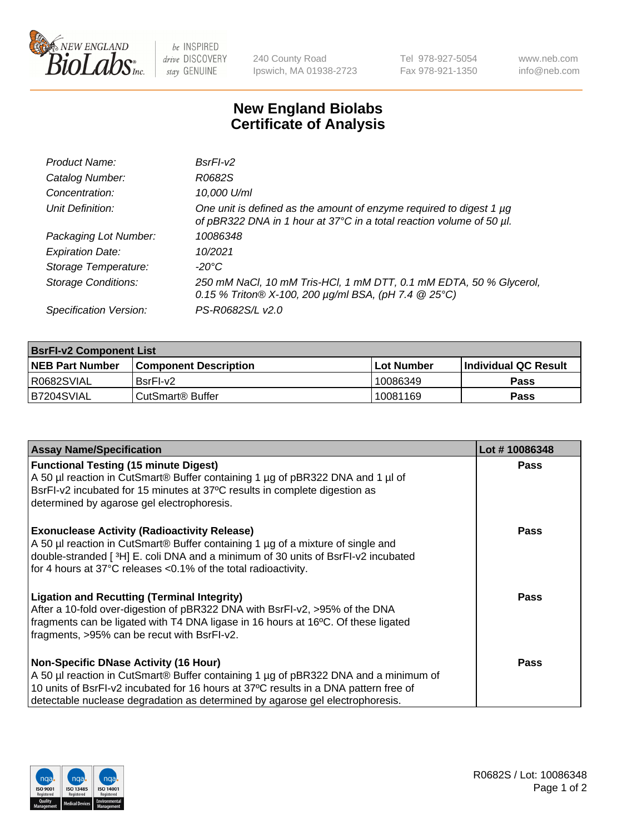

 $be$  INSPIRED drive DISCOVERY stay GENUINE

240 County Road Ipswich, MA 01938-2723 Tel 978-927-5054 Fax 978-921-1350 www.neb.com info@neb.com

## **New England Biolabs Certificate of Analysis**

| Product Name:              | $BsrFI-V2$                                                                                                                                  |
|----------------------------|---------------------------------------------------------------------------------------------------------------------------------------------|
| Catalog Number:            | R0682S                                                                                                                                      |
| Concentration:             | 10,000 U/ml                                                                                                                                 |
| Unit Definition:           | One unit is defined as the amount of enzyme required to digest 1 µg<br>of pBR322 DNA in 1 hour at 37°C in a total reaction volume of 50 µl. |
| Packaging Lot Number:      | 10086348                                                                                                                                    |
| <b>Expiration Date:</b>    | 10/2021                                                                                                                                     |
| Storage Temperature:       | $-20^{\circ}$ C                                                                                                                             |
| <b>Storage Conditions:</b> | 250 mM NaCl, 10 mM Tris-HCl, 1 mM DTT, 0.1 mM EDTA, 50 % Glycerol,<br>0.15 % Triton® X-100, 200 $\mu$ g/ml BSA, (pH 7.4 @ 25°C)             |
| Specification Version:     | PS-R0682S/L v2.0                                                                                                                            |

| <b>BsrFI-v2 Component List</b> |                              |                   |                       |  |  |
|--------------------------------|------------------------------|-------------------|-----------------------|--|--|
| <b>NEB Part Number</b>         | <b>Component Description</b> | <b>Lot Number</b> | ∣Individual QC Result |  |  |
| R0682SVIAL                     | BsrFI-v2                     | 10086349          | <b>Pass</b>           |  |  |
| B7204SVIAL                     | CutSmart® Buffer             | 10081169          | Pass                  |  |  |

| <b>Assay Name/Specification</b>                                                                                                | Lot #10086348 |
|--------------------------------------------------------------------------------------------------------------------------------|---------------|
| <b>Functional Testing (15 minute Digest)</b><br>A 50 µl reaction in CutSmart® Buffer containing 1 µg of pBR322 DNA and 1 µl of | <b>Pass</b>   |
| BsrFI-v2 incubated for 15 minutes at 37°C results in complete digestion as                                                     |               |
| determined by agarose gel electrophoresis.                                                                                     |               |
| <b>Exonuclease Activity (Radioactivity Release)</b>                                                                            | Pass          |
| A 50 µl reaction in CutSmart® Buffer containing 1 µg of a mixture of single and                                                |               |
| double-stranded [3H] E. coli DNA and a minimum of 30 units of BsrFI-v2 incubated                                               |               |
| for 4 hours at 37°C releases <0.1% of the total radioactivity.                                                                 |               |
| <b>Ligation and Recutting (Terminal Integrity)</b>                                                                             | Pass          |
| After a 10-fold over-digestion of pBR322 DNA with BsrFI-v2, >95% of the DNA                                                    |               |
| fragments can be ligated with T4 DNA ligase in 16 hours at 16°C. Of these ligated                                              |               |
| fragments, >95% can be recut with BsrFI-v2.                                                                                    |               |
| <b>Non-Specific DNase Activity (16 Hour)</b>                                                                                   | Pass          |
| A 50 µl reaction in CutSmart® Buffer containing 1 µg of pBR322 DNA and a minimum of                                            |               |
| 10 units of BsrFI-v2 incubated for 16 hours at 37°C results in a DNA pattern free of                                           |               |
| detectable nuclease degradation as determined by agarose gel electrophoresis.                                                  |               |